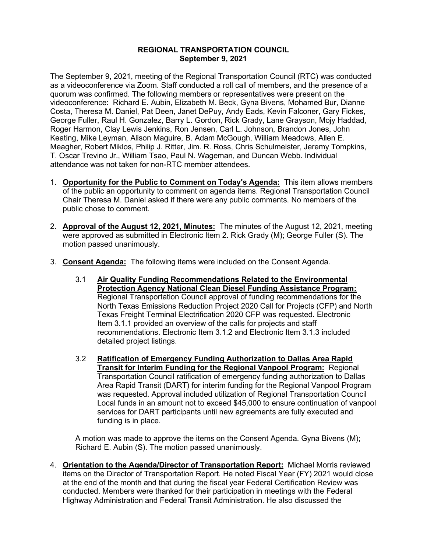## **REGIONAL TRANSPORTATION COUNCIL September 9, 2021**

The September 9, 2021, meeting of the Regional Transportation Council (RTC) was conducted as a videoconference via Zoom. Staff conducted a roll call of members, and the presence of a quorum was confirmed. The following members or representatives were present on the videoconference: Richard E. Aubin, Elizabeth M. Beck, Gyna Bivens, Mohamed Bur, Dianne Costa, Theresa M. Daniel, Pat Deen, Janet DePuy, Andy Eads, Kevin Falconer, Gary Fickes, George Fuller, Raul H. Gonzalez, Barry L. Gordon, Rick Grady, Lane Grayson, Mojy Haddad, Roger Harmon, Clay Lewis Jenkins, Ron Jensen, Carl L. Johnson, Brandon Jones, John Keating, Mike Leyman, Alison Maguire, B. Adam McGough, William Meadows, Allen E. Meagher, Robert Miklos, Philip J. Ritter, Jim. R. Ross, Chris Schulmeister, Jeremy Tompkins, T. Oscar Trevino Jr., William Tsao, Paul N. Wageman, and Duncan Webb. Individual attendance was not taken for non-RTC member attendees.

- 1. **Opportunity for the Public to Comment on Today's Agenda:** This item allows members of the public an opportunity to comment on agenda items. Regional Transportation Council Chair Theresa M. Daniel asked if there were any public comments. No members of the public chose to comment.
- 2. **Approval of the August 12, 2021, Minutes:** The minutes of the August 12, 2021, meeting were approved as submitted in Electronic Item 2. Rick Grady (M); George Fuller (S). The motion passed unanimously.
- 3. **Consent Agenda:** The following items were included on the Consent Agenda.
	- 3.1 **Air Quality Funding Recommendations Related to the Environmental Protection Agency National Clean Diesel Funding Assistance Program:**  Regional Transportation Council approval of funding recommendations for the North Texas Emissions Reduction Project 2020 Call for Projects (CFP) and North Texas Freight Terminal Electrification 2020 CFP was requested. Electronic Item 3.1.1 provided an overview of the calls for projects and staff recommendations. Electronic Item 3.1.2 and Electronic Item 3.1.3 included detailed project listings.
	- 3.2 **Ratification of Emergency Funding Authorization to Dallas Area Rapid Transit for Interim Funding for the Regional Vanpool Program:** Regional Transportation Council ratification of emergency funding authorization to Dallas Area Rapid Transit (DART) for interim funding for the Regional Vanpool Program was requested. Approval included utilization of Regional Transportation Council Local funds in an amount not to exceed \$45,000 to ensure continuation of vanpool services for DART participants until new agreements are fully executed and funding is in place.

A motion was made to approve the items on the Consent Agenda. Gyna Bivens (M); Richard E. Aubin (S). The motion passed unanimously.

4. **Orientation to the Agenda/Director of Transportation Report:** Michael Morris reviewed items on the Director of Transportation Report. He noted Fiscal Year (FY) 2021 would close at the end of the month and that during the fiscal year Federal Certification Review was conducted. Members were thanked for their participation in meetings with the Federal Highway Administration and Federal Transit Administration. He also discussed the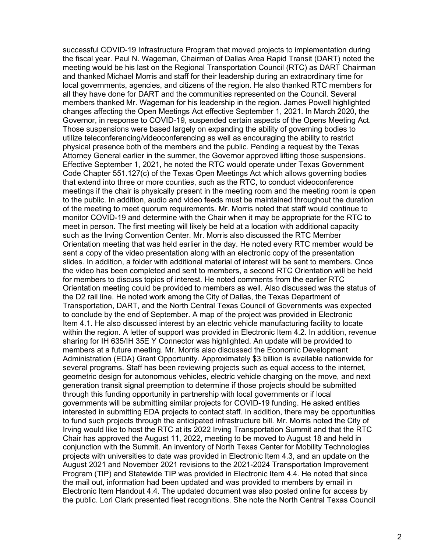successful COVID-19 Infrastructure Program that moved projects to implementation during the fiscal year. Paul N. Wageman, Chairman of Dallas Area Rapid Transit (DART) noted the meeting would be his last on the Regional Transportation Council (RTC) as DART Chairman and thanked Michael Morris and staff for their leadership during an extraordinary time for local governments, agencies, and citizens of the region. He also thanked RTC members for all they have done for DART and the communities represented on the Council. Several members thanked Mr. Wageman for his leadership in the region. James Powell highlighted changes affecting the Open Meetings Act effective September 1, 2021. In March 2020, the Governor, in response to COVID-19, suspended certain aspects of the Opens Meeting Act. Those suspensions were based largely on expanding the ability of governing bodies to utilize teleconferencing/videoconferencing as well as encouraging the ability to restrict physical presence both of the members and the public. Pending a request by the Texas Attorney General earlier in the summer, the Governor approved lifting those suspensions. Effective September 1, 2021, he noted the RTC would operate under Texas Government Code Chapter 551.127(c) of the Texas Open Meetings Act which allows governing bodies that extend into three or more counties, such as the RTC, to conduct videoconference meetings if the chair is physically present in the meeting room and the meeting room is open to the public. In addition, audio and video feeds must be maintained throughout the duration of the meeting to meet quorum requirements. Mr. Morris noted that staff would continue to monitor COVID-19 and determine with the Chair when it may be appropriate for the RTC to meet in person. The first meeting will likely be held at a location with additional capacity such as the Irving Convention Center. Mr. Morris also discussed the RTC Member Orientation meeting that was held earlier in the day. He noted every RTC member would be sent a copy of the video presentation along with an electronic copy of the presentation slides. In addition, a folder with additional material of interest will be sent to members. Once the video has been completed and sent to members, a second RTC Orientation will be held for members to discuss topics of interest. He noted comments from the earlier RTC Orientation meeting could be provided to members as well. Also discussed was the status of the D2 rail line. He noted work among the City of Dallas, the Texas Department of Transportation, DART, and the North Central Texas Council of Governments was expected to conclude by the end of September. A map of the project was provided in Electronic Item 4.1. He also discussed interest by an electric vehicle manufacturing facility to locate within the region. A letter of support was provided in Electronic Item 4.2. In addition, revenue sharing for IH 635/IH 35E Y Connector was highlighted. An update will be provided to members at a future meeting. Mr. Morris also discussed the Economic Development Administration (EDA) Grant Opportunity. Approximately \$3 billion is available nationwide for several programs. Staff has been reviewing projects such as equal access to the internet, geometric design for autonomous vehicles, electric vehicle charging on the move, and next generation transit signal preemption to determine if those projects should be submitted through this funding opportunity in partnership with local governments or if local governments will be submitting similar projects for COVID-19 funding. He asked entities interested in submitting EDA projects to contact staff. In addition, there may be opportunities to fund such projects through the anticipated infrastructure bill. Mr. Morris noted the City of Irving would like to host the RTC at its 2022 Irving Transportation Summit and that the RTC Chair has approved the August 11, 2022, meeting to be moved to August 18 and held in conjunction with the Summit. An inventory of North Texas Center for Mobility Technologies projects with universities to date was provided in Electronic Item 4.3, and an update on the August 2021 and November 2021 revisions to the 2021-2024 Transportation Improvement Program (TIP) and Statewide TIP was provided in Electronic Item 4.4. He noted that since the mail out, information had been updated and was provided to members by email in Electronic Item Handout 4.4. The updated document was also posted online for access by the public. Lori Clark presented fleet recognitions. She note the North Central Texas Council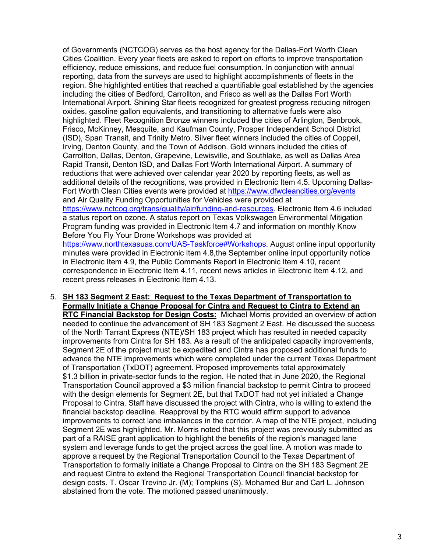of Governments (NCTCOG) serves as the host agency for the Dallas-Fort Worth Clean Cities Coalition. Every year fleets are asked to report on efforts to improve transportation efficiency, reduce emissions, and reduce fuel consumption. In conjunction with annual reporting, data from the surveys are used to highlight accomplishments of fleets in the region. She highlighted entities that reached a quantifiable goal established by the agencies including the cities of Bedford, Carrollton, and Frisco as well as the Dallas Fort Worth International Airport. Shining Star fleets recognized for greatest progress reducing nitrogen oxides, gasoline gallon equivalents, and transitioning to alternative fuels were also highlighted. Fleet Recognition Bronze winners included the cities of Arlington, Benbrook, Frisco, McKinney, Mesquite, and Kaufman County, Prosper Independent School District (ISD), Span Transit, and Trinity Metro. Silver fleet winners included the cities of Coppell, Irving, Denton County, and the Town of Addison. Gold winners included the cities of Carrollton, Dallas, Denton, Grapevine, Lewisville, and Southlake, as well as Dallas Area Rapid Transit, Denton ISD, and Dallas Fort Worth International Airport. A summary of reductions that were achieved over calendar year 2020 by reporting fleets, as well as additional details of the recognitions, was provided in Electronic Item 4.5. Upcoming Dallas-Fort Worth Clean Cities events were provided at<https://www.dfwcleancities.org/events> and Air Quality Funding Opportunities for Vehicles were provided at [https://www.nctcog.org/trans/quality/air/funding-and-resources.](https://www.nctcog.org/trans/quality/air/funding-and-resources) Electronic Item 4.6 included a status report on ozone. A status report on Texas Volkswagen Environmental Mitigation Program funding was provided in Electronic Item 4.7 and information on monthly Know Before You Fly Your Drone Workshops was provided at [https://www.northtexasuas.com/UAS-Taskforce#Workshops.](https://www.northtexasuas.com/UAS-Taskforce#Workshops) August online input opportunity minutes were provided in Electronic Item 4.8,the September online input opportunity notice in Electronic Item 4.9, the Public Comments Report in Electronic Item 4.10, recent correspondence in Electronic Item 4.11, recent news articles in Electronic Item 4.12, and recent press releases in Electronic Item 4.13.

5. **SH 183 Segment 2 East: Request to the Texas Department of Transportation to Formally Initiate a Change Proposal for Cintra and Request to Cintra to Extend an RTC Financial Backstop for Design Costs:** Michael Morris provided an overview of action needed to continue the advancement of SH 183 Segment 2 East. He discussed the success of the North Tarrant Express (NTE)/SH 183 project which has resulted in needed capacity improvements from Cintra for SH 183. As a result of the anticipated capacity improvements, Segment 2E of the project must be expedited and Cintra has proposed additional funds to advance the NTE improvements which were completed under the current Texas Department of Transportation (TxDOT) agreement. Proposed improvements total approximately \$1.3 billion in private-sector funds to the region. He noted that in June 2020, the Regional Transportation Council approved a \$3 million financial backstop to permit Cintra to proceed with the design elements for Segment 2E, but that TxDOT had not yet initiated a Change Proposal to Cintra. Staff have discussed the project with Cintra, who is willing to extend the financial backstop deadline. Reapproval by the RTC would affirm support to advance improvements to correct lane imbalances in the corridor. A map of the NTE project, including Segment 2E was highlighted. Mr. Morris noted that this project was previously submitted as part of a RAISE grant application to highlight the benefits of the region's managed lane system and leverage funds to get the project across the goal line. A motion was made to approve a request by the Regional Transportation Council to the Texas Department of Transportation to formally initiate a Change Proposal to Cintra on the SH 183 Segment 2E and request Cintra to extend the Regional Transportation Council financial backstop for design costs. T. Oscar Trevino Jr. (M); Tompkins (S). Mohamed Bur and Carl L. Johnson abstained from the vote. The motioned passed unanimously.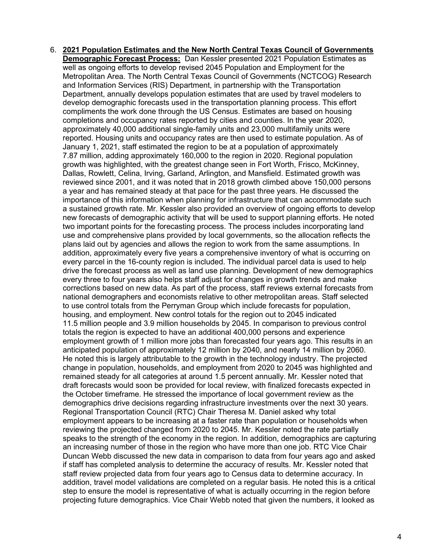6. **2021 Population Estimates and the New North Central Texas Council of Governments Demographic Forecast Process:** Dan Kessler presented 2021 Population Estimates as well as ongoing efforts to develop revised 2045 Population and Employment for the Metropolitan Area. The North Central Texas Council of Governments (NCTCOG) Research and Information Services (RIS) Department, in partnership with the Transportation Department, annually develops population estimates that are used by travel modelers to develop demographic forecasts used in the transportation planning process. This effort compliments the work done through the US Census. Estimates are based on housing completions and occupancy rates reported by cities and counties. In the year 2020, approximately 40,000 additional single-family units and 23,000 multifamily units were reported. Housing units and occupancy rates are then used to estimate population. As of January 1, 2021, staff estimated the region to be at a population of approximately 7.87 million, adding approximately 160,000 to the region in 2020. Regional population growth was highlighted, with the greatest change seen in Fort Worth, Frisco, McKinney, Dallas, Rowlett, Celina, Irving, Garland, Arlington, and Mansfield. Estimated growth was reviewed since 2001, and it was noted that in 2018 growth climbed above 150,000 persons a year and has remained steady at that pace for the past three years. He discussed the importance of this information when planning for infrastructure that can accommodate such a sustained growth rate. Mr. Kessler also provided an overview of ongoing efforts to develop new forecasts of demographic activity that will be used to support planning efforts. He noted two important points for the forecasting process. The process includes incorporating land use and comprehensive plans provided by local governments, so the allocation reflects the plans laid out by agencies and allows the region to work from the same assumptions. In addition, approximately every five years a comprehensive inventory of what is occurring on every parcel in the 16-county region is included. The individual parcel data is used to help drive the forecast process as well as land use planning. Development of new demographics every three to four years also helps staff adjust for changes in growth trends and make corrections based on new data. As part of the process, staff reviews external forecasts from national demographers and economists relative to other metropolitan areas. Staff selected to use control totals from the Perryman Group which include forecasts for population, housing, and employment. New control totals for the region out to 2045 indicated 11.5 million people and 3.9 million households by 2045. In comparison to previous control totals the region is expected to have an additional 400,000 persons and experience employment growth of 1 million more jobs than forecasted four years ago. This results in an anticipated population of approximately 12 million by 2040, and nearly 14 million by 2060. He noted this is largely attributable to the growth in the technology industry. The projected change in population, households, and employment from 2020 to 2045 was highlighted and remained steady for all categories at around 1.5 percent annually. Mr. Kessler noted that draft forecasts would soon be provided for local review, with finalized forecasts expected in the October timeframe. He stressed the importance of local government review as the demographics drive decisions regarding infrastructure investments over the next 30 years. Regional Transportation Council (RTC) Chair Theresa M. Daniel asked why total employment appears to be increasing at a faster rate than population or households when reviewing the projected changed from 2020 to 2045. Mr. Kessler noted the rate partially speaks to the strength of the economy in the region. In addition, demographics are capturing an increasing number of those in the region who have more than one job. RTC Vice Chair Duncan Webb discussed the new data in comparison to data from four years ago and asked if staff has completed analysis to determine the accuracy of results. Mr. Kessler noted that staff review projected data from four years ago to Census data to determine accuracy. In addition, travel model validations are completed on a regular basis. He noted this is a critical step to ensure the model is representative of what is actually occurring in the region before projecting future demographics. Vice Chair Webb noted that given the numbers, it looked as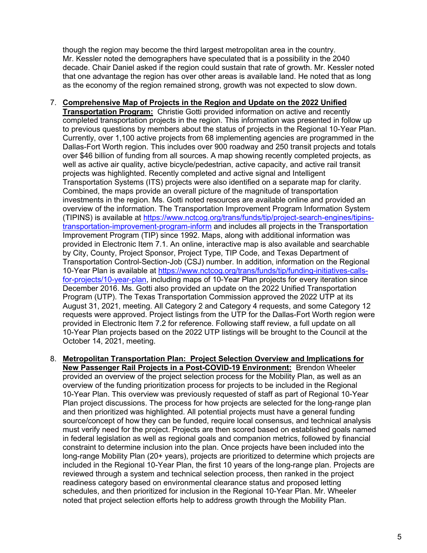though the region may become the third largest metropolitan area in the country. Mr. Kessler noted the demographers have speculated that is a possibility in the 2040 decade. Chair Daniel asked if the region could sustain that rate of growth. Mr. Kessler noted that one advantage the region has over other areas is available land. He noted that as long as the economy of the region remained strong, growth was not expected to slow down.

## 7. **Comprehensive Map of Projects in the Region and Update on the 2022 Unified**

**Transportation Program:** Christie Gotti provided information on active and recently completed transportation projects in the region. This information was presented in follow up to previous questions by members about the status of projects in the Regional 10-Year Plan. Currently, over 1,100 active projects from 68 implementing agencies are programmed in the Dallas-Fort Worth region. This includes over 900 roadway and 250 transit projects and totals over \$46 billion of funding from all sources. A map showing recently completed projects, as well as active air quality, active bicycle/pedestrian, active capacity, and active rail transit projects was highlighted. Recently completed and active signal and Intelligent Transportation Systems (ITS) projects were also identified on a separate map for clarity. Combined, the maps provide an overall picture of the magnitude of transportation investments in the region. Ms. Gotti noted resources are available online and provided an overview of the information. The Transportation Improvement Program Information System (TIPINS) is available at [https://www.nctcog.org/trans/funds/tip/project-search-engines/tipins](https://www.nctcog.org/trans/funds/tip/project-search-engines/tipins-transportation-improvement-program-inform)[transportation-improvement-program-inform](https://www.nctcog.org/trans/funds/tip/project-search-engines/tipins-transportation-improvement-program-inform) and includes all projects in the Transportation Improvement Program (TIP) since 1992. Maps, along with additional information was provided in Electronic Item 7.1. An online, interactive map is also available and searchable by City, County, Project Sponsor, Project Type, TIP Code, and Texas Department of Transportation Control-Section-Job (CSJ) number. In addition, information on the Regional 10-Year Plan is available at [https://www.nctcog.org/trans/funds/tip/funding-initiatives-calls](https://www.nctcog.org/trans/funds/tip/funding-initiatives-calls-for-projects/10-year-plan)[for-projects/10-year-plan,](https://www.nctcog.org/trans/funds/tip/funding-initiatives-calls-for-projects/10-year-plan) including maps of 10-Year Plan projects for every iteration since December 2016. Ms. Gotti also provided an update on the 2022 Unified Transportation Program (UTP). The Texas Transportation Commission approved the 2022 UTP at its August 31, 2021, meeting. All Category 2 and Category 4 requests, and some Category 12 requests were approved. Project listings from the UTP for the Dallas-Fort Worth region were provided in Electronic Item 7.2 for reference. Following staff review, a full update on all 10-Year Plan projects based on the 2022 UTP listings will be brought to the Council at the October 14, 2021, meeting.

8. **Metropolitan Transportation Plan: Project Selection Overview and Implications for New Passenger Rail Projects in a Post-COVID-19 Environment:** Brendon Wheeler provided an overview of the project selection process for the Mobility Plan, as well as an overview of the funding prioritization process for projects to be included in the Regional 10-Year Plan. This overview was previously requested of staff as part of Regional 10-Year Plan project discussions. The process for how projects are selected for the long-range plan and then prioritized was highlighted. All potential projects must have a general funding source/concept of how they can be funded, require local consensus, and technical analysis must verify need for the project. Projects are then scored based on established goals named in federal legislation as well as regional goals and companion metrics, followed by financial constraint to determine inclusion into the plan. Once projects have been included into the long-range Mobility Plan (20+ years), projects are prioritized to determine which projects are included in the Regional 10-Year Plan, the first 10 years of the long-range plan. Projects are reviewed through a system and technical selection process, then ranked in the project readiness category based on environmental clearance status and proposed letting schedules, and then prioritized for inclusion in the Regional 10-Year Plan. Mr. Wheeler noted that project selection efforts help to address growth through the Mobility Plan.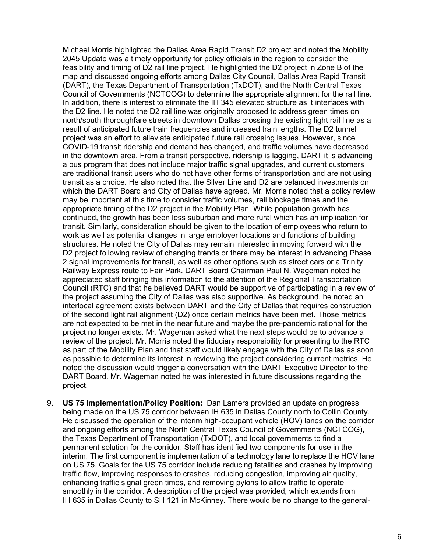Michael Morris highlighted the Dallas Area Rapid Transit D2 project and noted the Mobility 2045 Update was a timely opportunity for policy officials in the region to consider the feasibility and timing of D2 rail line project. He highlighted the D2 project in Zone B of the map and discussed ongoing efforts among Dallas City Council, Dallas Area Rapid Transit (DART), the Texas Department of Transportation (TxDOT), and the North Central Texas Council of Governments (NCTCOG) to determine the appropriate alignment for the rail line. In addition, there is interest to eliminate the IH 345 elevated structure as it interfaces with the D2 line. He noted the D2 rail line was originally proposed to address green times on north/south thoroughfare streets in downtown Dallas crossing the existing light rail line as a result of anticipated future train frequencies and increased train lengths. The D2 tunnel project was an effort to alleviate anticipated future rail crossing issues. However, since COVID-19 transit ridership and demand has changed, and traffic volumes have decreased in the downtown area. From a transit perspective, ridership is lagging, DART it is advancing a bus program that does not include major traffic signal upgrades, and current customers are traditional transit users who do not have other forms of transportation and are not using transit as a choice. He also noted that the Silver Line and D2 are balanced investments on which the DART Board and City of Dallas have agreed. Mr. Morris noted that a policy review may be important at this time to consider traffic volumes, rail blockage times and the appropriate timing of the D2 project in the Mobility Plan. While population growth has continued, the growth has been less suburban and more rural which has an implication for transit. Similarly, consideration should be given to the location of employees who return to work as well as potential changes in large employer locations and functions of building structures. He noted the City of Dallas may remain interested in moving forward with the D2 project following review of changing trends or there may be interest in advancing Phase 2 signal improvements for transit, as well as other options such as street cars or a Trinity Railway Express route to Fair Park. DART Board Chairman Paul N. Wageman noted he appreciated staff bringing this information to the attention of the Regional Transportation Council (RTC) and that he believed DART would be supportive of participating in a review of the project assuming the City of Dallas was also supportive. As background, he noted an interlocal agreement exists between DART and the City of Dallas that requires construction of the second light rail alignment (D2) once certain metrics have been met. Those metrics are not expected to be met in the near future and maybe the pre-pandemic rational for the project no longer exists. Mr. Wageman asked what the next steps would be to advance a review of the project. Mr. Morris noted the fiduciary responsibility for presenting to the RTC as part of the Mobility Plan and that staff would likely engage with the City of Dallas as soon as possible to determine its interest in reviewing the project considering current metrics. He noted the discussion would trigger a conversation with the DART Executive Director to the DART Board. Mr. Wageman noted he was interested in future discussions regarding the project.

9. **US 75 Implementation/Policy Position:** Dan Lamers provided an update on progress being made on the US 75 corridor between IH 635 in Dallas County north to Collin County. He discussed the operation of the interim high-occupant vehicle (HOV) lanes on the corridor and ongoing efforts among the North Central Texas Council of Governments (NCTCOG), the Texas Department of Transportation (TxDOT), and local governments to find a permanent solution for the corridor. Staff has identified two components for use in the interim. The first component is implementation of a technology lane to replace the HOV lane on US 75. Goals for the US 75 corridor include reducing fatalities and crashes by improving traffic flow, improving responses to crashes, reducing congestion, improving air quality, enhancing traffic signal green times, and removing pylons to allow traffic to operate smoothly in the corridor. A description of the project was provided, which extends from IH 635 in Dallas County to SH 121 in McKinney. There would be no change to the general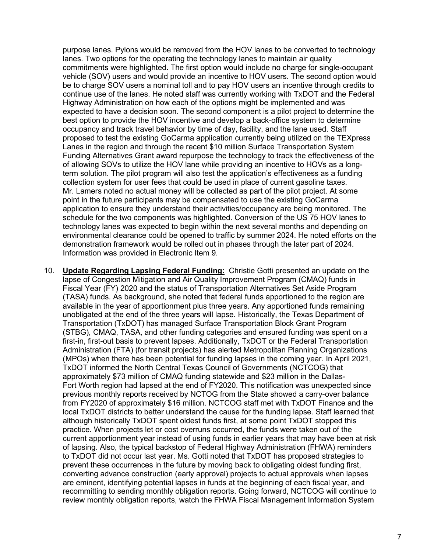purpose lanes. Pylons would be removed from the HOV lanes to be converted to technology lanes. Two options for the operating the technology lanes to maintain air quality commitments were highlighted. The first option would include no charge for single-occupant vehicle (SOV) users and would provide an incentive to HOV users. The second option would be to charge SOV users a nominal toll and to pay HOV users an incentive through credits to continue use of the lanes. He noted staff was currently working with TxDOT and the Federal Highway Administration on how each of the options might be implemented and was expected to have a decision soon. The second component is a pilot project to determine the best option to provide the HOV incentive and develop a back-office system to determine occupancy and track travel behavior by time of day, facility, and the lane used. Staff proposed to test the existing GoCarma application currently being utilized on the TEXpress Lanes in the region and through the recent \$10 million Surface Transportation System Funding Alternatives Grant award repurpose the technology to track the effectiveness of the of allowing SOVs to utilize the HOV lane while providing an incentive to HOVs as a longterm solution. The pilot program will also test the application's effectiveness as a funding collection system for user fees that could be used in place of current gasoline taxes. Mr. Lamers noted no actual money will be collected as part of the pilot project. At some point in the future participants may be compensated to use the existing GoCarma application to ensure they understand their activities/occupancy are being monitored. The schedule for the two components was highlighted. Conversion of the US 75 HOV lanes to technology lanes was expected to begin within the next several months and depending on environmental clearance could be opened to traffic by summer 2024. He noted efforts on the demonstration framework would be rolled out in phases through the later part of 2024. Information was provided in Electronic Item 9.

10. **Update Regarding Lapsing Federal Funding:** Christie Gotti presented an update on the lapse of Congestion Mitigation and Air Quality Improvement Program (CMAQ) funds in Fiscal Year (FY) 2020 and the status of Transportation Alternatives Set Aside Program (TASA) funds. As background, she noted that federal funds apportioned to the region are available in the year of apportionment plus three years. Any apportioned funds remaining unobligated at the end of the three years will lapse. Historically, the Texas Department of Transportation (TxDOT) has managed Surface Transportation Block Grant Program (STBG), CMAQ, TASA, and other funding categories and ensured funding was spent on a first-in, first-out basis to prevent lapses. Additionally, TxDOT or the Federal Transportation Administration (FTA) (for transit projects) has alerted Metropolitan Planning Organizations (MPOs) when there has been potential for funding lapses in the coming year. In April 2021, TxDOT informed the North Central Texas Council of Governments (NCTCOG) that approximately \$73 million of CMAQ funding statewide and \$23 million in the Dallas-Fort Worth region had lapsed at the end of FY2020. This notification was unexpected since previous monthly reports received by NCTOG from the State showed a carry-over balance from FY2020 of approximately \$16 million. NCTCOG staff met with TxDOT Finance and the local TxDOT districts to better understand the cause for the funding lapse. Staff learned that although historically TxDOT spent oldest funds first, at some point TxDOT stopped this practice. When projects let or cost overruns occurred, the funds were taken out of the current apportionment year instead of using funds in earlier years that may have been at risk of lapsing. Also, the typical backstop of Federal Highway Administration (FHWA) reminders to TxDOT did not occur last year. Ms. Gotti noted that TxDOT has proposed strategies to prevent these occurrences in the future by moving back to obligating oldest funding first, converting advance construction (early approval) projects to actual approvals when lapses are eminent, identifying potential lapses in funds at the beginning of each fiscal year, and recommitting to sending monthly obligation reports. Going forward, NCTCOG will continue to review monthly obligation reports, watch the FHWA Fiscal Management Information System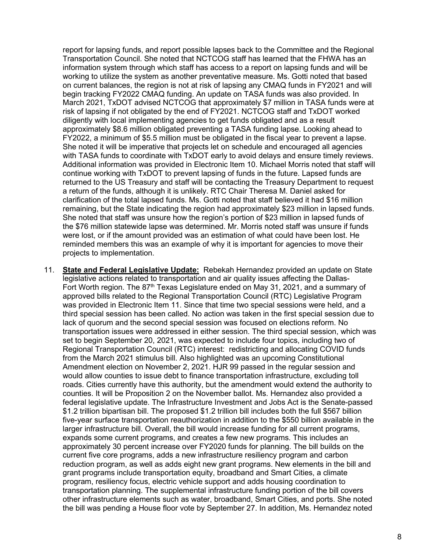report for lapsing funds, and report possible lapses back to the Committee and the Regional Transportation Council. She noted that NCTCOG staff has learned that the FHWA has an information system through which staff has access to a report on lapsing funds and will be working to utilize the system as another preventative measure. Ms. Gotti noted that based on current balances, the region is not at risk of lapsing any CMAQ funds in FY2021 and will begin tracking FY2022 CMAQ funding. An update on TASA funds was also provided. In March 2021, TxDOT advised NCTCOG that approximately \$7 million in TASA funds were at risk of lapsing if not obligated by the end of FY2021. NCTCOG staff and TxDOT worked diligently with local implementing agencies to get funds obligated and as a result approximately \$8.6 million obligated preventing a TASA funding lapse. Looking ahead to FY2022, a minimum of \$5.5 million must be obligated in the fiscal year to prevent a lapse. She noted it will be imperative that projects let on schedule and encouraged all agencies with TASA funds to coordinate with TxDOT early to avoid delays and ensure timely reviews. Additional information was provided in Electronic Item 10. Michael Morris noted that staff will continue working with TxDOT to prevent lapsing of funds in the future. Lapsed funds are returned to the US Treasury and staff will be contacting the Treasury Department to request a return of the funds, although it is unlikely. RTC Chair Theresa M. Daniel asked for clarification of the total lapsed funds. Ms. Gotti noted that staff believed it had \$16 million remaining, but the State indicating the region had approximately \$23 million in lapsed funds. She noted that staff was unsure how the region's portion of \$23 million in lapsed funds of the \$76 million statewide lapse was determined. Mr. Morris noted staff was unsure if funds were lost, or if the amount provided was an estimation of what could have been lost. He reminded members this was an example of why it is important for agencies to move their projects to implementation.

11. **State and Federal Legislative Update:** Rebekah Hernandez provided an update on State legislative actions related to transportation and air quality issues affecting the Dallas-Fort Worth region. The 87<sup>th</sup> Texas Legislature ended on May 31, 2021, and a summary of approved bills related to the Regional Transportation Council (RTC) Legislative Program was provided in Electronic Item 11. Since that time two special sessions were held, and a third special session has been called. No action was taken in the first special session due to lack of quorum and the second special session was focused on elections reform. No transportation issues were addressed in either session. The third special session, which was set to begin September 20, 2021, was expected to include four topics, including two of Regional Transportation Council (RTC) interest: redistricting and allocating COVID funds from the March 2021 stimulus bill. Also highlighted was an upcoming Constitutional Amendment election on November 2, 2021. HJR 99 passed in the regular session and would allow counties to issue debt to finance transportation infrastructure, excluding toll roads. Cities currently have this authority, but the amendment would extend the authority to counties. It will be Proposition 2 on the November ballot. Ms. Hernandez also provided a federal legislative update. The Infrastructure Investment and Jobs Act is the Senate-passed \$1.2 trillion bipartisan bill. The proposed \$1.2 trillion bill includes both the full \$567 billion five-year surface transportation reauthorization in addition to the \$550 billion available in the larger infrastructure bill. Overall, the bill would increase funding for all current programs, expands some current programs, and creates a few new programs. This includes an approximately 30 percent increase over FY2020 funds for planning. The bill builds on the current five core programs, adds a new infrastructure resiliency program and carbon reduction program, as well as adds eight new grant programs. New elements in the bill and grant programs include transportation equity, broadband and Smart Cities, a climate program, resiliency focus, electric vehicle support and adds housing coordination to transportation planning. The supplemental infrastructure funding portion of the bill covers other infrastructure elements such as water, broadband, Smart Cities, and ports. She noted the bill was pending a House floor vote by September 27. In addition, Ms. Hernandez noted